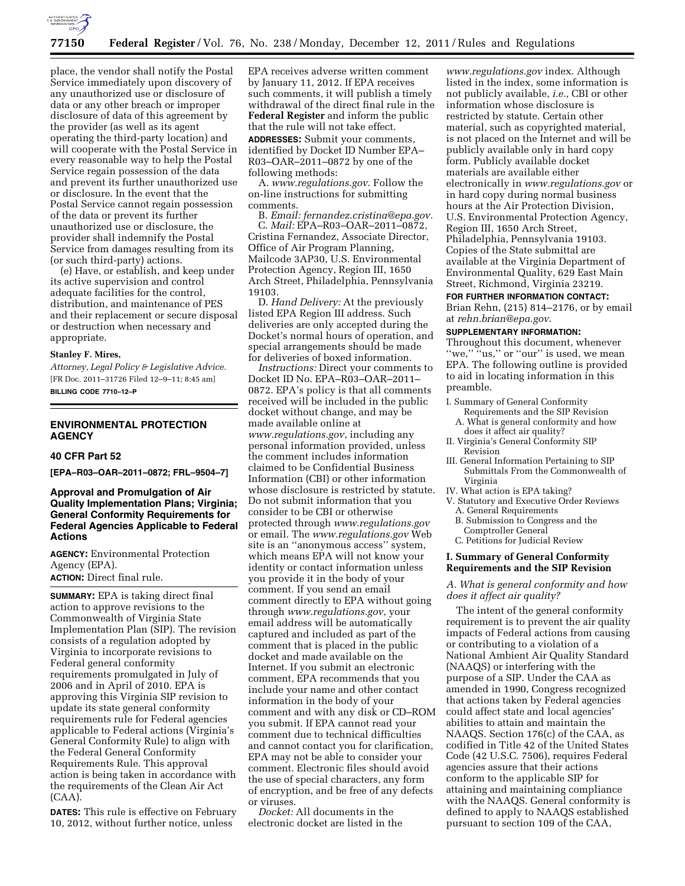

place, the vendor shall notify the Postal Service immediately upon discovery of any unauthorized use or disclosure of data or any other breach or improper disclosure of data of this agreement by the provider (as well as its agent operating the third-party location) and will cooperate with the Postal Service in every reasonable way to help the Postal Service regain possession of the data and prevent its further unauthorized use or disclosure. In the event that the Postal Service cannot regain possession of the data or prevent its further unauthorized use or disclosure, the provider shall indemnify the Postal Service from damages resulting from its (or such third-party) actions.

(e) Have, or establish, and keep under its active supervision and control adequate facilities for the control, distribution, and maintenance of PES and their replacement or secure disposal or destruction when necessary and appropriate.

#### **Stanley F. Mires,**

*Attorney, Legal Policy & Legislative Advice.*  [FR Doc. 2011–31726 Filed 12–9–11; 8:45 am] **BILLING CODE 7710–12–P** 

# **ENVIRONMENTAL PROTECTION AGENCY**

#### **40 CFR Part 52**

**[EPA–R03–OAR–2011–0872; FRL–9504–7]** 

**Approval and Promulgation of Air Quality Implementation Plans; Virginia; General Conformity Requirements for Federal Agencies Applicable to Federal Actions** 

**AGENCY:** Environmental Protection Agency (EPA). **ACTION:** Direct final rule.

**SUMMARY:** EPA is taking direct final action to approve revisions to the Commonwealth of Virginia State Implementation Plan (SIP). The revision consists of a regulation adopted by Virginia to incorporate revisions to Federal general conformity requirements promulgated in July of 2006 and in April of 2010. EPA is approving this Virginia SIP revision to update its state general conformity requirements rule for Federal agencies applicable to Federal actions (Virginia's General Conformity Rule) to align with the Federal General Conformity Requirements Rule. This approval action is being taken in accordance with the requirements of the Clean Air Act (CAA).

**DATES:** This rule is effective on February 10, 2012, without further notice, unless

EPA receives adverse written comment by January 11, 2012. If EPA receives such comments, it will publish a timely withdrawal of the direct final rule in the **Federal Register** and inform the public that the rule will not take effect. **ADDRESSES:** Submit your comments, identified by Docket ID Number EPA– R03–OAR–2011–0872 by one of the following methods:

A. *www.regulations.gov*. Follow the on-line instructions for submitting comments.

B. *Email: fernandez.cristina@epa.gov.*  C. *Mail:* EPA–R03–OAR–2011–0872, Cristina Fernandez, Associate Director, Office of Air Program Planning, Mailcode 3AP30, U.S. Environmental Protection Agency, Region III, 1650 Arch Street, Philadelphia, Pennsylvania 19103.

D. *Hand Delivery:* At the previously listed EPA Region III address. Such deliveries are only accepted during the Docket's normal hours of operation, and special arrangements should be made for deliveries of boxed information.

*Instructions:* Direct your comments to Docket ID No. EPA–R03–OAR–2011– 0872. EPA's policy is that all comments received will be included in the public docket without change, and may be made available online at *www.regulations.gov*, including any personal information provided, unless the comment includes information claimed to be Confidential Business Information (CBI) or other information whose disclosure is restricted by statute. Do not submit information that you consider to be CBI or otherwise protected through *www.regulations.gov*  or email. The *www.regulations.gov* Web site is an ''anonymous access'' system, which means EPA will not know your identity or contact information unless you provide it in the body of your comment. If you send an email comment directly to EPA without going through *www.regulations.gov*, your email address will be automatically captured and included as part of the comment that is placed in the public docket and made available on the Internet. If you submit an electronic comment, EPA recommends that you include your name and other contact information in the body of your comment and with any disk or CD–ROM you submit. If EPA cannot read your comment due to technical difficulties and cannot contact you for clarification, EPA may not be able to consider your comment. Electronic files should avoid the use of special characters, any form of encryption, and be free of any defects or viruses.

*Docket:* All documents in the electronic docket are listed in the

*www.regulations.gov* index. Although listed in the index, some information is not publicly available, *i.e.,* CBI or other information whose disclosure is restricted by statute. Certain other material, such as copyrighted material, is not placed on the Internet and will be publicly available only in hard copy form. Publicly available docket materials are available either electronically in *www.regulations.gov* or in hard copy during normal business hours at the Air Protection Division, U.S. Environmental Protection Agency, Region III, 1650 Arch Street, Philadelphia, Pennsylvania 19103. Copies of the State submittal are available at the Virginia Department of Environmental Quality, 629 East Main Street, Richmond, Virginia 23219. **FOR FURTHER INFORMATION CONTACT:** 

Brian Rehn, (215) 814–2176, or by email at *rehn.brian@epa.gov*.

# **SUPPLEMENTARY INFORMATION:**

Throughout this document, whenever "we," "us," or "our" is used, we mean EPA. The following outline is provided to aid in locating information in this preamble.

- I. Summary of General Conformity Requirements and the SIP Revision
	- A. What is general conformity and how does it affect air quality?
- II. Virginia's General Conformity SIP Revision
- III. General Information Pertaining to SIP Submittals From the Commonwealth of Virginia
- IV. What action is EPA taking?
- V. Statutory and Executive Order Reviews A. General Requirements
	- B. Submission to Congress and the Comptroller General
	- C. Petitions for Judicial Review

## **I. Summary of General Conformity Requirements and the SIP Revision**

### *A. What is general conformity and how does it affect air quality?*

The intent of the general conformity requirement is to prevent the air quality impacts of Federal actions from causing or contributing to a violation of a National Ambient Air Quality Standard (NAAQS) or interfering with the purpose of a SIP. Under the CAA as amended in 1990, Congress recognized that actions taken by Federal agencies could affect state and local agencies' abilities to attain and maintain the NAAQS. Section 176(c) of the CAA, as codified in Title 42 of the United States Code (42 U.S.C. 7506), requires Federal agencies assure that their actions conform to the applicable SIP for attaining and maintaining compliance with the NAAQS. General conformity is defined to apply to NAAQS established pursuant to section 109 of the CAA,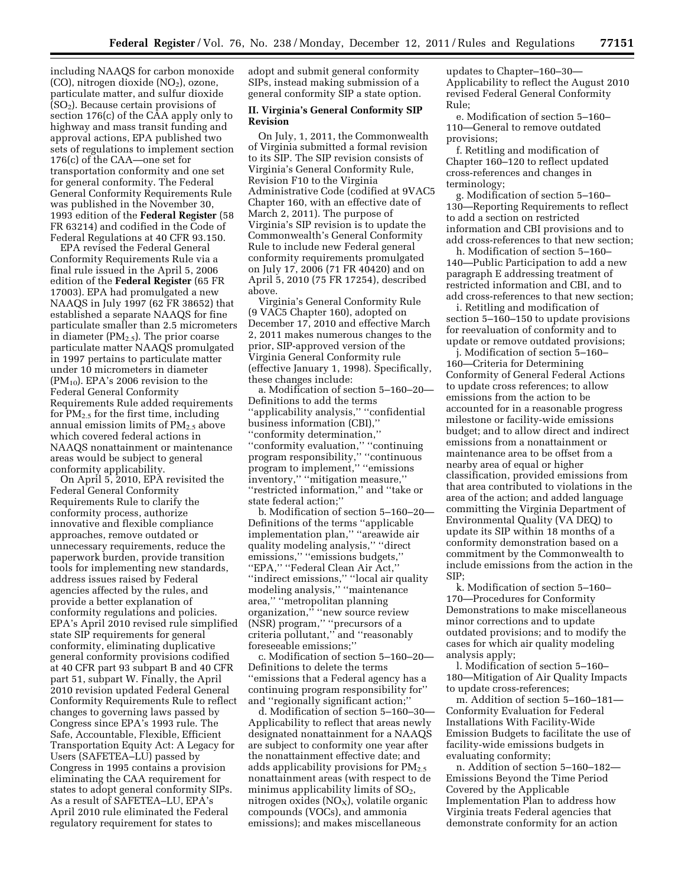including NAAQS for carbon monoxide (CO), nitrogen dioxide  $NO<sub>2</sub>$ ), ozone, particulate matter, and sulfur dioxide  $(SO<sub>2</sub>)$ . Because certain provisions of section 176(c) of the CAA apply only to highway and mass transit funding and approval actions, EPA published two sets of regulations to implement section 176(c) of the CAA—one set for transportation conformity and one set for general conformity. The Federal General Conformity Requirements Rule was published in the November 30, 1993 edition of the **Federal Register** (58 FR 63214) and codified in the Code of Federal Regulations at 40 CFR 93.150.

EPA revised the Federal General Conformity Requirements Rule via a final rule issued in the April 5, 2006 edition of the **Federal Register** (65 FR 17003). EPA had promulgated a new NAAQS in July 1997 (62 FR 38652) that established a separate NAAQS for fine particulate smaller than 2.5 micrometers in diameter ( $PM<sub>2.5</sub>$ ). The prior coarse particulate matter NAAQS promulgated in 1997 pertains to particulate matter under 10 micrometers in diameter  $(PM_{10})$ . EPA's 2006 revision to the Federal General Conformity Requirements Rule added requirements for  $PM_{2.5}$  for the first time, including annual emission limits of  $PM<sub>2.5</sub>$  above which covered federal actions in NAAQS nonattainment or maintenance areas would be subject to general conformity applicability.

On April 5, 2010, EPA revisited the Federal General Conformity Requirements Rule to clarify the conformity process, authorize innovative and flexible compliance approaches, remove outdated or unnecessary requirements, reduce the paperwork burden, provide transition tools for implementing new standards, address issues raised by Federal agencies affected by the rules, and provide a better explanation of conformity regulations and policies. EPA's April 2010 revised rule simplified state SIP requirements for general conformity, eliminating duplicative general conformity provisions codified at 40 CFR part 93 subpart B and 40 CFR part 51, subpart W. Finally, the April 2010 revision updated Federal General Conformity Requirements Rule to reflect changes to governing laws passed by Congress since EPA's 1993 rule. The Safe, Accountable, Flexible, Efficient Transportation Equity Act: A Legacy for Users (SAFETEA–LU) passed by Congress in 1995 contains a provision eliminating the CAA requirement for states to adopt general conformity SIPs. As a result of SAFETEA–LU, EPA's April 2010 rule eliminated the Federal regulatory requirement for states to

adopt and submit general conformity SIPs, instead making submission of a general conformity SIP a state option.

## **II. Virginia's General Conformity SIP Revision**

On July, 1, 2011, the Commonwealth of Virginia submitted a formal revision to its SIP. The SIP revision consists of Virginia's General Conformity Rule, Revision F10 to the Virginia Administrative Code (codified at 9VAC5 Chapter 160, with an effective date of March 2, 2011). The purpose of Virginia's SIP revision is to update the Commonwealth's General Conformity Rule to include new Federal general conformity requirements promulgated on July 17, 2006 (71 FR 40420) and on April 5, 2010 (75 FR 17254), described above.

Virginia's General Conformity Rule (9 VAC5 Chapter 160), adopted on December 17, 2010 and effective March 2, 2011 makes numerous changes to the prior, SIP-approved version of the Virginia General Conformity rule (effective January 1, 1998). Specifically, these changes include:

a. Modification of section 5–160–20— Definitions to add the terms ''applicability analysis,'' ''confidential business information (CBI),'' ''conformity determination,'' ''conformity evaluation,'' ''continuing program responsibility,'' ''continuous program to implement,'' ''emissions inventory,'' ''mitigation measure,'' ''restricted information,'' and ''take or state federal action;''

b. Modification of section 5–160–20— Definitions of the terms ''applicable implementation plan,'' ''areawide air quality modeling analysis,'' ''direct emissions," "emissions budgets," ''EPA,'' ''Federal Clean Air Act,'' ''indirect emissions,'' ''local air quality modeling analysis,'' ''maintenance area,'' ''metropolitan planning organization,'' ''new source review (NSR) program,'' ''precursors of a criteria pollutant,'' and ''reasonably foreseeable emissions;''

c. Modification of section 5–160–20— Definitions to delete the terms ''emissions that a Federal agency has a continuing program responsibility for'' and ''regionally significant action;''

d. Modification of section 5–160–30— Applicability to reflect that areas newly designated nonattainment for a NAAQS are subject to conformity one year after the nonattainment effective date; and adds applicability provisions for  $PM_{2.5}$ nonattainment areas (with respect to de minimus applicability limits of  $SO<sub>2</sub>$ , nitrogen oxides  $(NO<sub>X</sub>)$ , volatile organic compounds (VOCs), and ammonia emissions); and makes miscellaneous

updates to Chapter–160–30— Applicability to reflect the August 2010 revised Federal General Conformity Rule;

e. Modification of section 5–160– 110—General to remove outdated provisions;

f. Retitling and modification of Chapter 160–120 to reflect updated cross-references and changes in terminology;

g. Modification of section 5–160– 130—Reporting Requirements to reflect to add a section on restricted information and CBI provisions and to add cross-references to that new section;

h. Modification of section 5–160– 140—Public Participation to add a new paragraph E addressing treatment of restricted information and CBI, and to add cross-references to that new section;

i. Retitling and modification of section 5–160–150 to update provisions for reevaluation of conformity and to update or remove outdated provisions;

j. Modification of section 5–160– 160—Criteria for Determining Conformity of General Federal Actions to update cross references; to allow emissions from the action to be accounted for in a reasonable progress milestone or facility-wide emissions budget; and to allow direct and indirect emissions from a nonattainment or maintenance area to be offset from a nearby area of equal or higher classification, provided emissions from that area contributed to violations in the area of the action; and added language committing the Virginia Department of Environmental Quality (VA DEQ) to update its SIP within 18 months of a conformity demonstration based on a commitment by the Commonwealth to include emissions from the action in the SIP;

k. Modification of section 5–160– 170—Procedures for Conformity Demonstrations to make miscellaneous minor corrections and to update outdated provisions; and to modify the cases for which air quality modeling analysis apply;

l. Modification of section 5–160– 180—Mitigation of Air Quality Impacts to update cross-references;

m. Addition of section 5–160–181— Conformity Evaluation for Federal Installations With Facility-Wide Emission Budgets to facilitate the use of facility-wide emissions budgets in evaluating conformity;

n. Addition of section 5–160–182— Emissions Beyond the Time Period Covered by the Applicable Implementation Plan to address how Virginia treats Federal agencies that demonstrate conformity for an action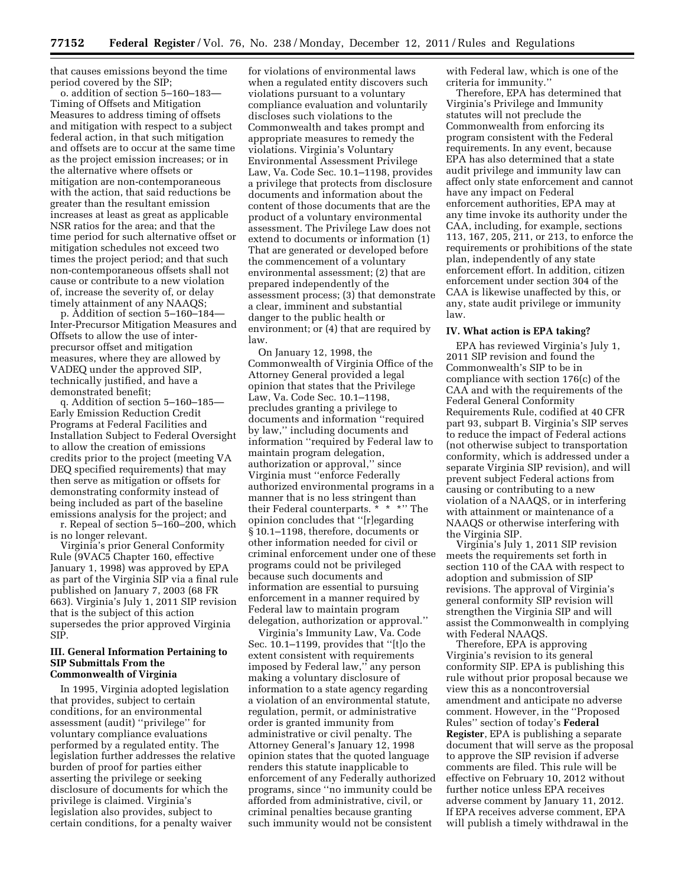that causes emissions beyond the time period covered by the SIP;

o. addition of section 5–160–183— Timing of Offsets and Mitigation Measures to address timing of offsets and mitigation with respect to a subject federal action, in that such mitigation and offsets are to occur at the same time as the project emission increases; or in the alternative where offsets or mitigation are non-contemporaneous with the action, that said reductions be greater than the resultant emission increases at least as great as applicable NSR ratios for the area; and that the time period for such alternative offset or mitigation schedules not exceed two times the project period; and that such non-contemporaneous offsets shall not cause or contribute to a new violation of, increase the severity of, or delay timely attainment of any NAAQS;

p. Addition of section 5–160–184— Inter-Precursor Mitigation Measures and Offsets to allow the use of interprecursor offset and mitigation measures, where they are allowed by VADEQ under the approved SIP, technically justified, and have a demonstrated benefit;

q. Addition of section 5–160–185— Early Emission Reduction Credit Programs at Federal Facilities and Installation Subject to Federal Oversight to allow the creation of emissions credits prior to the project (meeting VA DEQ specified requirements) that may then serve as mitigation or offsets for demonstrating conformity instead of being included as part of the baseline emissions analysis for the project; and

r. Repeal of section 5–160–200, which is no longer relevant.

Virginia's prior General Conformity Rule (9VAC5 Chapter 160, effective January 1, 1998) was approved by EPA as part of the Virginia SIP via a final rule published on January 7, 2003 (68 FR 663). Virginia's July 1, 2011 SIP revision that is the subject of this action supersedes the prior approved Virginia SIP.

### **III. General Information Pertaining to SIP Submittals From the Commonwealth of Virginia**

In 1995, Virginia adopted legislation that provides, subject to certain conditions, for an environmental assessment (audit) ''privilege'' for voluntary compliance evaluations performed by a regulated entity. The legislation further addresses the relative burden of proof for parties either asserting the privilege or seeking disclosure of documents for which the privilege is claimed. Virginia's legislation also provides, subject to certain conditions, for a penalty waiver

for violations of environmental laws when a regulated entity discovers such violations pursuant to a voluntary compliance evaluation and voluntarily discloses such violations to the Commonwealth and takes prompt and appropriate measures to remedy the violations. Virginia's Voluntary Environmental Assessment Privilege Law, Va. Code Sec. 10.1–1198, provides a privilege that protects from disclosure documents and information about the content of those documents that are the product of a voluntary environmental assessment. The Privilege Law does not extend to documents or information (1) That are generated or developed before the commencement of a voluntary environmental assessment; (2) that are prepared independently of the assessment process; (3) that demonstrate a clear, imminent and substantial danger to the public health or environment; or (4) that are required by law.

On January 12, 1998, the Commonwealth of Virginia Office of the Attorney General provided a legal opinion that states that the Privilege Law, Va. Code Sec. 10.1–1198, precludes granting a privilege to documents and information ''required by law,'' including documents and information ''required by Federal law to maintain program delegation, authorization or approval,'' since Virginia must ''enforce Federally authorized environmental programs in a manner that is no less stringent than their Federal counterparts. \* \* \*'' The opinion concludes that ''[r]egarding § 10.1–1198, therefore, documents or other information needed for civil or criminal enforcement under one of these programs could not be privileged because such documents and information are essential to pursuing enforcement in a manner required by Federal law to maintain program delegation, authorization or approval.''

Virginia's Immunity Law, Va. Code Sec. 10.1–1199, provides that ''[t]o the extent consistent with requirements imposed by Federal law,'' any person making a voluntary disclosure of information to a state agency regarding a violation of an environmental statute, regulation, permit, or administrative order is granted immunity from administrative or civil penalty. The Attorney General's January 12, 1998 opinion states that the quoted language renders this statute inapplicable to enforcement of any Federally authorized programs, since ''no immunity could be afforded from administrative, civil, or criminal penalties because granting such immunity would not be consistent

with Federal law, which is one of the criteria for immunity.''

Therefore, EPA has determined that Virginia's Privilege and Immunity statutes will not preclude the Commonwealth from enforcing its program consistent with the Federal requirements. In any event, because EPA has also determined that a state audit privilege and immunity law can affect only state enforcement and cannot have any impact on Federal enforcement authorities, EPA may at any time invoke its authority under the CAA, including, for example, sections 113, 167, 205, 211, or 213, to enforce the requirements or prohibitions of the state plan, independently of any state enforcement effort. In addition, citizen enforcement under section 304 of the CAA is likewise unaffected by this, or any, state audit privilege or immunity law.

#### **IV. What action is EPA taking?**

EPA has reviewed Virginia's July 1, 2011 SIP revision and found the Commonwealth's SIP to be in compliance with section 176(c) of the CAA and with the requirements of the Federal General Conformity Requirements Rule, codified at 40 CFR part 93, subpart B. Virginia's SIP serves to reduce the impact of Federal actions (not otherwise subject to transportation conformity, which is addressed under a separate Virginia SIP revision), and will prevent subject Federal actions from causing or contributing to a new violation of a NAAQS, or in interfering with attainment or maintenance of a NAAQS or otherwise interfering with the Virginia SIP.

Virginia's July 1, 2011 SIP revision meets the requirements set forth in section 110 of the CAA with respect to adoption and submission of SIP revisions. The approval of Virginia's general conformity SIP revision will strengthen the Virginia SIP and will assist the Commonwealth in complying with Federal NAAQS.

Therefore, EPA is approving Virginia's revision to its general conformity SIP. EPA is publishing this rule without prior proposal because we view this as a noncontroversial amendment and anticipate no adverse comment. However, in the ''Proposed Rules'' section of today's **Federal Register**, EPA is publishing a separate document that will serve as the proposal to approve the SIP revision if adverse comments are filed. This rule will be effective on February 10, 2012 without further notice unless EPA receives adverse comment by January 11, 2012. If EPA receives adverse comment, EPA will publish a timely withdrawal in the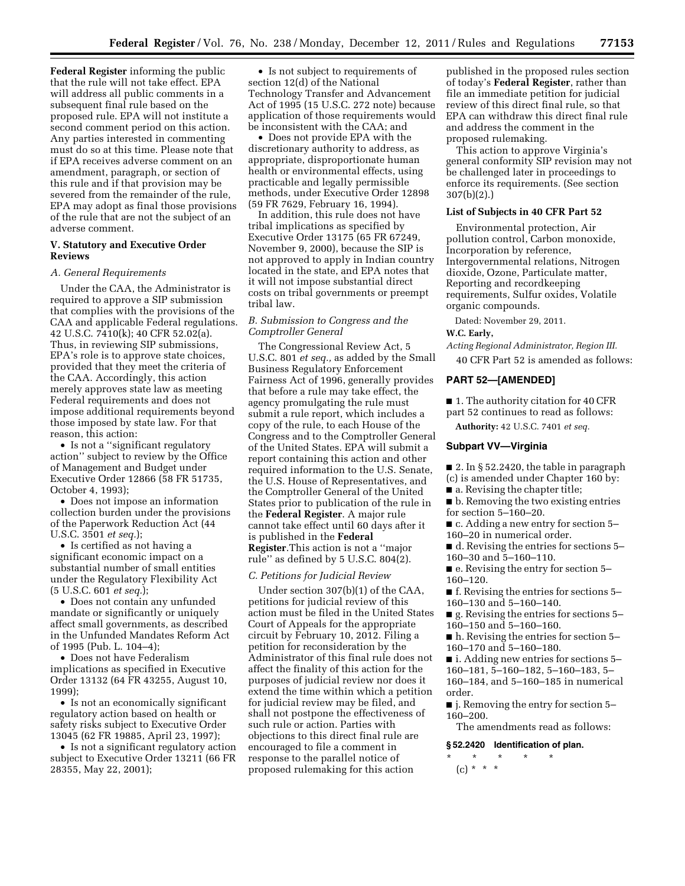**Federal Register** informing the public that the rule will not take effect. EPA will address all public comments in a subsequent final rule based on the proposed rule. EPA will not institute a second comment period on this action. Any parties interested in commenting must do so at this time. Please note that if EPA receives adverse comment on an amendment, paragraph, or section of this rule and if that provision may be severed from the remainder of the rule, EPA may adopt as final those provisions of the rule that are not the subject of an adverse comment.

## **V. Statutory and Executive Order Reviews**

#### *A. General Requirements*

Under the CAA, the Administrator is required to approve a SIP submission that complies with the provisions of the CAA and applicable Federal regulations. 42 U.S.C. 7410(k); 40 CFR 52.02(a). Thus, in reviewing SIP submissions, EPA's role is to approve state choices, provided that they meet the criteria of the CAA. Accordingly, this action merely approves state law as meeting Federal requirements and does not impose additional requirements beyond those imposed by state law. For that reason, this action:

• Is not a "significant regulatory action'' subject to review by the Office of Management and Budget under Executive Order 12866 (58 FR 51735, October 4, 1993);

• Does not impose an information collection burden under the provisions of the Paperwork Reduction Act (44 U.S.C. 3501 *et seq.*);

• Is certified as not having a significant economic impact on a substantial number of small entities under the Regulatory Flexibility Act (5 U.S.C. 601 *et seq.*);

• Does not contain any unfunded mandate or significantly or uniquely affect small governments, as described in the Unfunded Mandates Reform Act of 1995 (Pub. L. 104–4);

• Does not have Federalism implications as specified in Executive Order 13132 (64 FR 43255, August 10, 1999);

• Is not an economically significant regulatory action based on health or safety risks subject to Executive Order 13045 (62 FR 19885, April 23, 1997);

• Is not a significant regulatory action subject to Executive Order 13211 (66 FR 28355, May 22, 2001);

• Is not subject to requirements of section 12(d) of the National Technology Transfer and Advancement Act of 1995 (15 U.S.C. 272 note) because application of those requirements would be inconsistent with the CAA; and

• Does not provide EPA with the discretionary authority to address, as appropriate, disproportionate human health or environmental effects, using practicable and legally permissible methods, under Executive Order 12898 (59 FR 7629, February 16, 1994).

In addition, this rule does not have tribal implications as specified by Executive Order 13175 (65 FR 67249, November 9, 2000), because the SIP is not approved to apply in Indian country located in the state, and EPA notes that it will not impose substantial direct costs on tribal governments or preempt tribal law.

## *B. Submission to Congress and the Comptroller General*

The Congressional Review Act, 5 U.S.C. 801 *et seq.,* as added by the Small Business Regulatory Enforcement Fairness Act of 1996, generally provides that before a rule may take effect, the agency promulgating the rule must submit a rule report, which includes a copy of the rule, to each House of the Congress and to the Comptroller General of the United States. EPA will submit a report containing this action and other required information to the U.S. Senate, the U.S. House of Representatives, and the Comptroller General of the United States prior to publication of the rule in the **Federal Register**. A major rule cannot take effect until 60 days after it is published in the **Federal Register**.This action is not a ''major rule'' as defined by 5 U.S.C. 804(2).

#### *C. Petitions for Judicial Review*

Under section 307(b)(1) of the CAA, petitions for judicial review of this action must be filed in the United States Court of Appeals for the appropriate circuit by February 10, 2012. Filing a petition for reconsideration by the Administrator of this final rule does not affect the finality of this action for the purposes of judicial review nor does it extend the time within which a petition for judicial review may be filed, and shall not postpone the effectiveness of such rule or action. Parties with objections to this direct final rule are encouraged to file a comment in response to the parallel notice of proposed rulemaking for this action

published in the proposed rules section of today's **Federal Register**, rather than file an immediate petition for judicial review of this direct final rule, so that EPA can withdraw this direct final rule and address the comment in the proposed rulemaking.

This action to approve Virginia's general conformity SIP revision may not be challenged later in proceedings to enforce its requirements. (See section 307(b)(2).)

#### **List of Subjects in 40 CFR Part 52**

Environmental protection, Air pollution control, Carbon monoxide, Incorporation by reference, Intergovernmental relations, Nitrogen dioxide, Ozone, Particulate matter, Reporting and recordkeeping requirements, Sulfur oxides, Volatile organic compounds.

Dated: November 29, 2011.

## **W.C. Early,**

*Acting Regional Administrator, Region III.* 

40 CFR Part 52 is amended as follows:

#### **PART 52—[AMENDED]**

■ 1. The authority citation for 40 CFR part 52 continues to read as follows:

**Authority:** 42 U.S.C. 7401 *et seq.* 

#### **Subpart VV—Virginia**

■ 2. In § 52.2420, the table in paragraph (c) is amended under Chapter 160 by:

■ a. Revising the chapter title;

■ b. Removing the two existing entries for section 5–160–20.

■ c. Adding a new entry for section 5–

160–20 in numerical order.

■ d. Revising the entries for sections 5– 160–30 and 5–160–110.

■ e. Revising the entry for section 5– 160–120.

■ f. Revising the entries for sections 5– 160–130 and 5–160–140.

 $\blacksquare$  g. Revising the entries for sections 5– 160–150 and 5–160–160.

■ h. Revising the entries for section 5– 160–170 and 5–160–180.

■ i. Adding new entries for sections 5–

160–181, 5–160–182, 5–160–183, 5–

160–184, and 5–160–185 in numerical order.

■ j. Removing the entry for section 5– 160–200.

The amendments read as follows:

#### **§ 52.2420 Identification of plan.**

\* \* \* \* \* (c) \* \* \*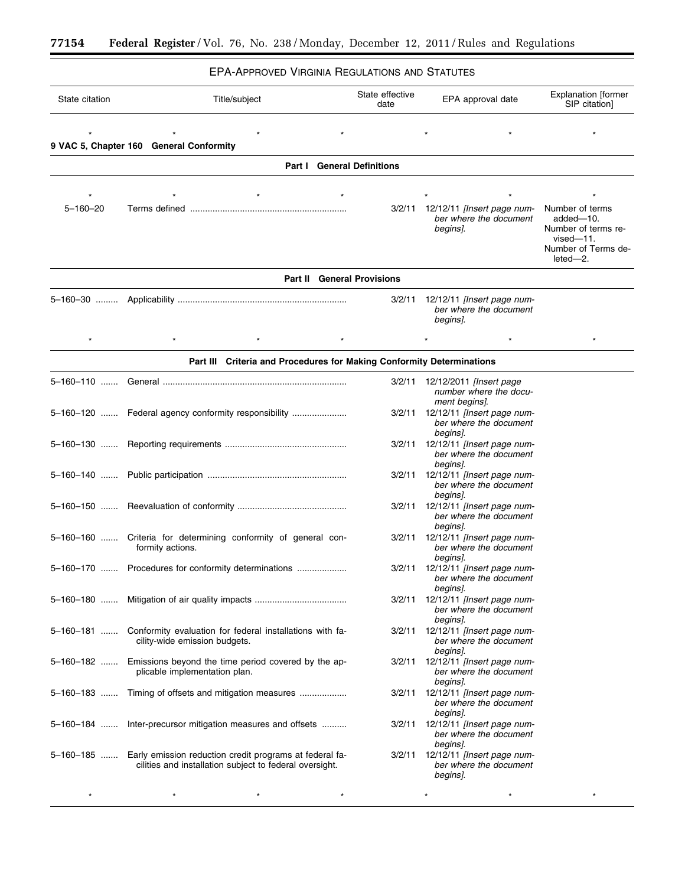$\equiv$ 

# EPA-APPROVED VIRGINIA REGULATIONS AND STATUTES

۲

| State citation | Title/subject                                                                                                      | State effective<br>date | EPA approval date                                                         | <b>Explanation [former</b><br>SIP citation]                                                             |
|----------------|--------------------------------------------------------------------------------------------------------------------|-------------------------|---------------------------------------------------------------------------|---------------------------------------------------------------------------------------------------------|
|                | 9 VAC 5, Chapter 160 General Conformity                                                                            |                         |                                                                           |                                                                                                         |
|                | <b>Part I</b> General Definitions                                                                                  |                         |                                                                           |                                                                                                         |
| $5 - 160 - 20$ |                                                                                                                    |                         | 3/2/11 12/12/11 [Insert page num-<br>ber where the document<br>begins].   | Number of terms<br>added-10.<br>Number of terms re-<br>$vised - 11.$<br>Number of Terms de-<br>leted-2. |
|                | <b>Part II</b> General Provisions                                                                                  |                         |                                                                           |                                                                                                         |
|                |                                                                                                                    | 3/2/11                  | 12/12/11 [Insert page num-<br>ber where the document<br>begins].          |                                                                                                         |
| $\star$        |                                                                                                                    |                         |                                                                           | $\star$                                                                                                 |
|                | Part III Criteria and Procedures for Making Conformity Determinations                                              |                         |                                                                           |                                                                                                         |
|                |                                                                                                                    |                         | 3/2/11 12/12/2011 [Insert page<br>number where the docu-<br>ment begins]. |                                                                                                         |
|                | 5-160-120  Federal agency conformity responsibility                                                                |                         | 3/2/11 12/12/11 [Insert page num-<br>ber where the document<br>begins].   |                                                                                                         |
|                |                                                                                                                    |                         | 3/2/11 12/12/11 [Insert page num-<br>ber where the document<br>begins].   |                                                                                                         |
|                |                                                                                                                    |                         | 3/2/11 12/12/11 [Insert page num-<br>ber where the document<br>begins].   |                                                                                                         |
|                |                                                                                                                    |                         | 3/2/11 12/12/11 [Insert page num-<br>ber where the document<br>begins].   |                                                                                                         |
|                | 5-160-160  Criteria for determining conformity of general con-<br>formity actions.                                 |                         | 3/2/11 12/12/11 [Insert page num-<br>ber where the document<br>begins].   |                                                                                                         |
|                | 5-160-170  Procedures for conformity determinations                                                                |                         | 3/2/11 12/12/11 [Insert page num-<br>ber where the document<br>begins].   |                                                                                                         |
|                |                                                                                                                    |                         | 3/2/11 12/12/11 [Insert page num-<br>ber where the document<br>begins].   |                                                                                                         |
|                | 5-160-181  Conformity evaluation for federal installations with fa-<br>cility-wide emission budgets.               |                         | 3/2/11 12/12/11 [Insert page num-<br>ber where the document<br>begins].   |                                                                                                         |
| 5–160–182 …….  | Emissions beyond the time period covered by the ap-<br>plicable implementation plan.                               |                         | 3/2/11 12/12/11 [Insert page num-<br>ber where the document<br>begins].   |                                                                                                         |
|                | 5-160-183  Timing of offsets and mitigation measures                                                               |                         | 3/2/11 12/12/11 [Insert page num-<br>ber where the document<br>begins].   |                                                                                                         |
| 5–160–184      | Inter-precursor mitigation measures and offsets                                                                    |                         | 3/2/11 12/12/11 [Insert page num-<br>ber where the document<br>begins].   |                                                                                                         |
| 5–160–185 …….  | Early emission reduction credit programs at federal fa-<br>cilities and installation subject to federal oversight. | 3/2/11                  | 12/12/11 [Insert page num-<br>ber where the document<br>begins].          |                                                                                                         |
|                | $\star$                                                                                                            |                         |                                                                           |                                                                                                         |